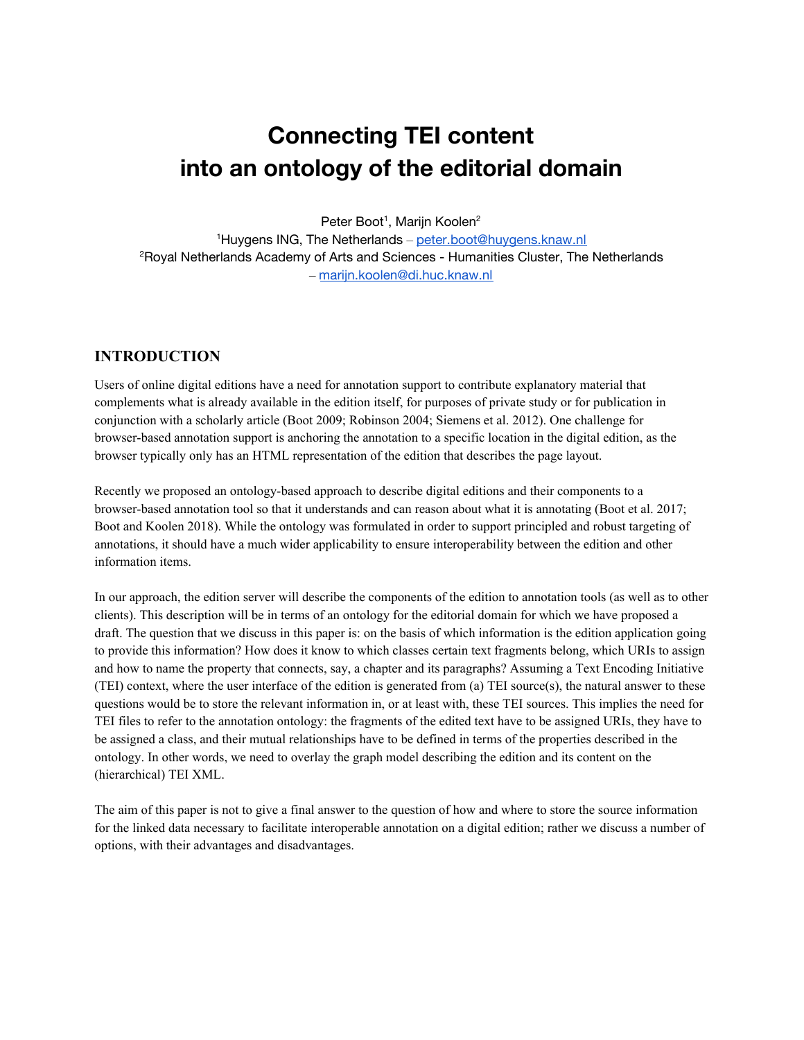# **Connecting TEI content into an ontology of the editorial domain**

Peter Boot<sup>1</sup>, Marijn Koolen<sup>2</sup>

<sup>1</sup>Huygens ING, The Netherlands – [peter.boot@huygens.knaw.nl](mailto:peter.boot@huygens.knaw.nl) <sup>2</sup>Royal Netherlands Academy of Arts and Sciences - Humanities Cluster, The Netherlands – [marijn.koolen@di.huc.knaw.nl](mailto:marijn.koolen@di.huc.knaw.nl)

#### **INTRODUCTION**

Users of online digital editions have a need for annotation support to contribute explanatory material that complements what is already available in the edition itself, for purposes of private study or for publication in conjunction with a scholarly article (Boot 2009; Robinson 2004; Siemens et al. 2012). One challenge for browser-based annotation support is anchoring the annotation to a specific location in the digital edition, as the browser typically only has an HTML representation of the edition that describes the page layout.

Recently we proposed an ontology-based approach to describe digital editions and their components to a browser-based annotation tool so that it understands and can reason about what it is annotating (Boot et al. 2017; Boot and Koolen 2018). While the ontology was formulated in order to support principled and robust targeting of annotations, it should have a much wider applicability to ensure interoperability between the edition and other information items.

In our approach, the edition server will describe the components of the edition to annotation tools (as well as to other clients). This description will be in terms of an ontology for the editorial domain for which we have proposed a draft. The question that we discuss in this paper is: on the basis of which information is the edition application going to provide this information? How does it know to which classes certain text fragments belong, which URIs to assign and how to name the property that connects, say, a chapter and its paragraphs? Assuming a Text Encoding Initiative (TEI) context, where the user interface of the edition is generated from (a) TEI source(s), the natural answer to these questions would be to store the relevant information in, or at least with, these TEI sources. This implies the need for TEI files to refer to the annotation ontology: the fragments of the edited text have to be assigned URIs, they have to be assigned a class, and their mutual relationships have to be defined in terms of the properties described in the ontology. In other words, we need to overlay the graph model describing the edition and its content on the (hierarchical) TEI XML.

The aim of this paper is not to give a final answer to the question of how and where to store the source information for the linked data necessary to facilitate interoperable annotation on a digital edition; rather we discuss a number of options, with their advantages and disadvantages.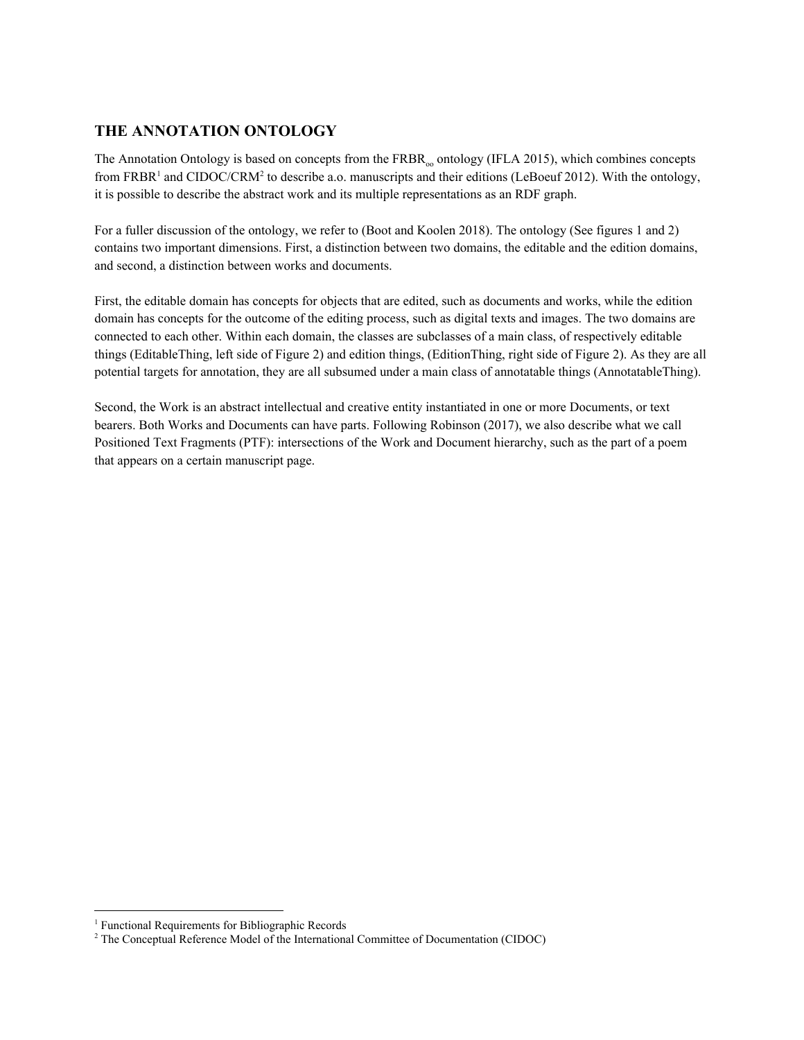## **THE ANNOTATION ONTOLOGY**

The Annotation Ontology is based on concepts from the  $FRBR<sub>oo</sub>$  ontology (IFLA 2015), which combines concepts from FRBR<sup>1</sup> and CIDOC/CRM<sup>2</sup> to describe a.o. manuscripts and their editions (LeBoeuf 2012). With the ontology, it is possible to describe the abstract work and its multiple representations as an RDF graph.

For a fuller discussion of the ontology, we refer to (Boot and Koolen 2018). The ontology (See figures 1 and 2) contains two important dimensions. First, a distinction between two domains, the editable and the edition domains, and second, a distinction between works and documents.

First, the editable domain has concepts for objects that are edited, such as documents and works, while the edition domain has concepts for the outcome of the editing process, such as digital texts and images. The two domains are connected to each other. Within each domain, the classes are subclasses of a main class, of respectively editable things (EditableThing, left side of Figure 2) and edition things, (EditionThing, right side of Figure 2). As they are all potential targets for annotation, they are all subsumed under a main class of annotatable things (AnnotatableThing).

Second, the Work is an abstract intellectual and creative entity instantiated in one or more Documents, or text bearers. Both Works and Documents can have parts. Following Robinson (2017), we also describe what we call Positioned Text Fragments (PTF): intersections of the Work and Document hierarchy, such as the part of a poem that appears on a certain manuscript page.

<sup>&</sup>lt;sup>1</sup> Functional Requirements for Bibliographic Records

 $2^2$  The Conceptual Reference Model of the International Committee of Documentation (CIDOC)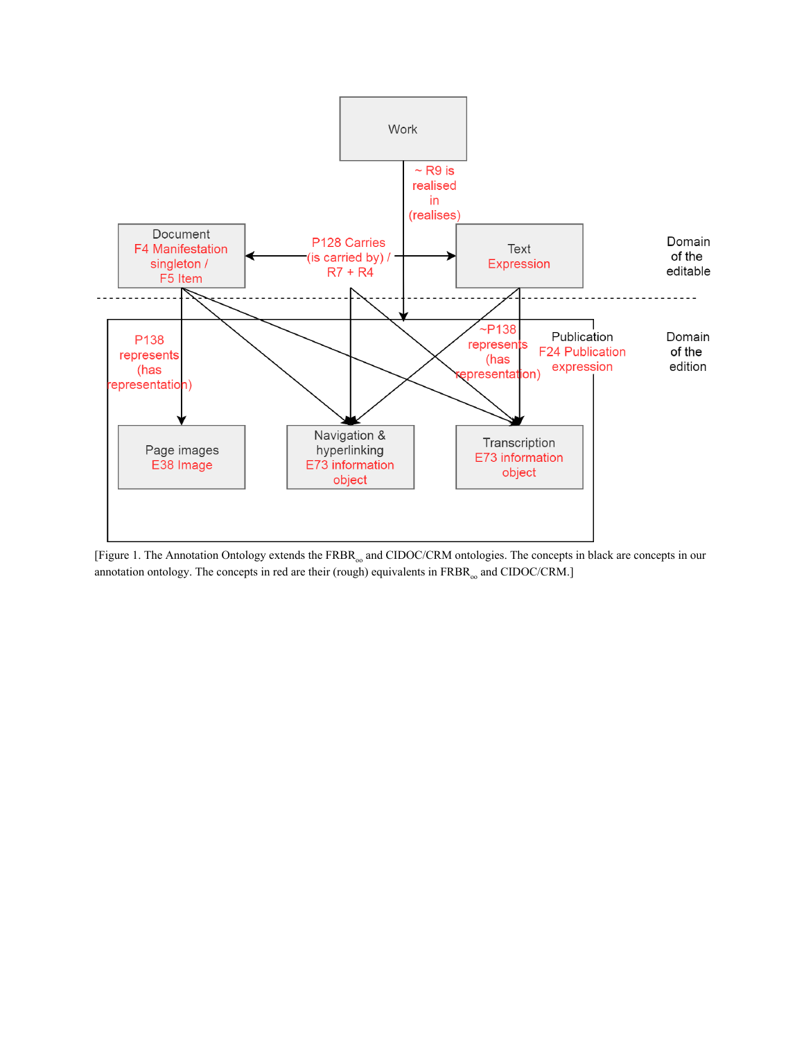

[Figure 1. The Annotation Ontology extends the FRBR<sub>oo</sub> and CIDOC/CRM ontologies. The concepts in black are concepts in our annotation ontology. The concepts in red are their (rough) equivalents in  $\mathrm{FRBR}_\mathrm{oo}$  and CIDOC/CRM.]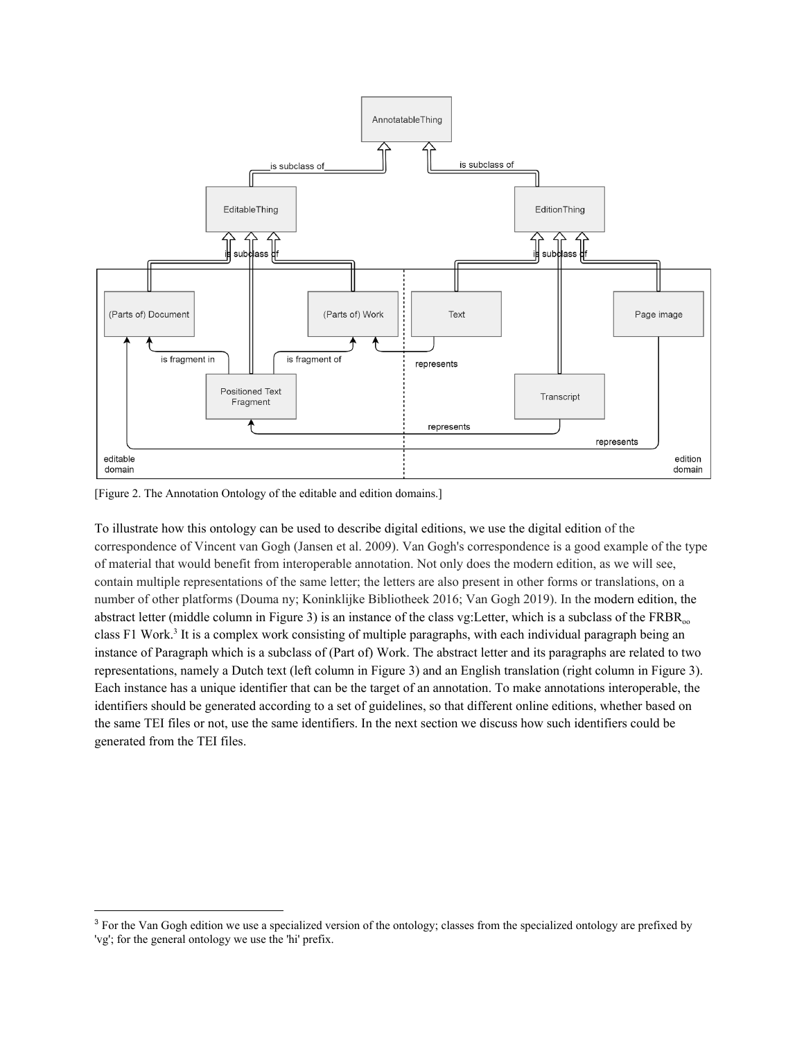

[Figure 2. The Annotation Ontology of the editable and edition domains.]

To illustrate how this ontology can be used to describe digital editions, we use the digital edition of the correspondence of Vincent van Gogh (Jansen et al. 2009). Van Gogh's correspondence is a good example of the type of material that would benefit from interoperable annotation. Not only does the modern edition, as we will see, contain multiple representations of the same letter; the letters are also present in other forms or translations, on a number of other platforms (Douma ny; Koninklijke Bibliotheek 2016; Van Gogh 2019). In the modern edition, the abstract letter (middle column in Figure 3) is an instance of the class vg: Letter, which is a subclass of the  $FRR_{\text{no}}$ class F1 Work.<sup>3</sup> It is a complex work consisting of multiple paragraphs, with each individual paragraph being an instance of Paragraph which is a subclass of (Part of) Work. The abstract letter and its paragraphs are related to two representations, namely a Dutch text (left column in Figure 3) and an English translation (right column in Figure 3). Each instance has a unique identifier that can be the target of an annotation. To make annotations interoperable, the identifiers should be generated according to a set of guidelines, so that different online editions, whether based on the same TEI files or not, use the same identifiers. In the next section we discuss how such identifiers could be generated from the TEI files.

<sup>&</sup>lt;sup>3</sup> For the Van Gogh edition we use a specialized version of the ontology; classes from the specialized ontology are prefixed by 'vg'; for the general ontology we use the 'hi' prefix.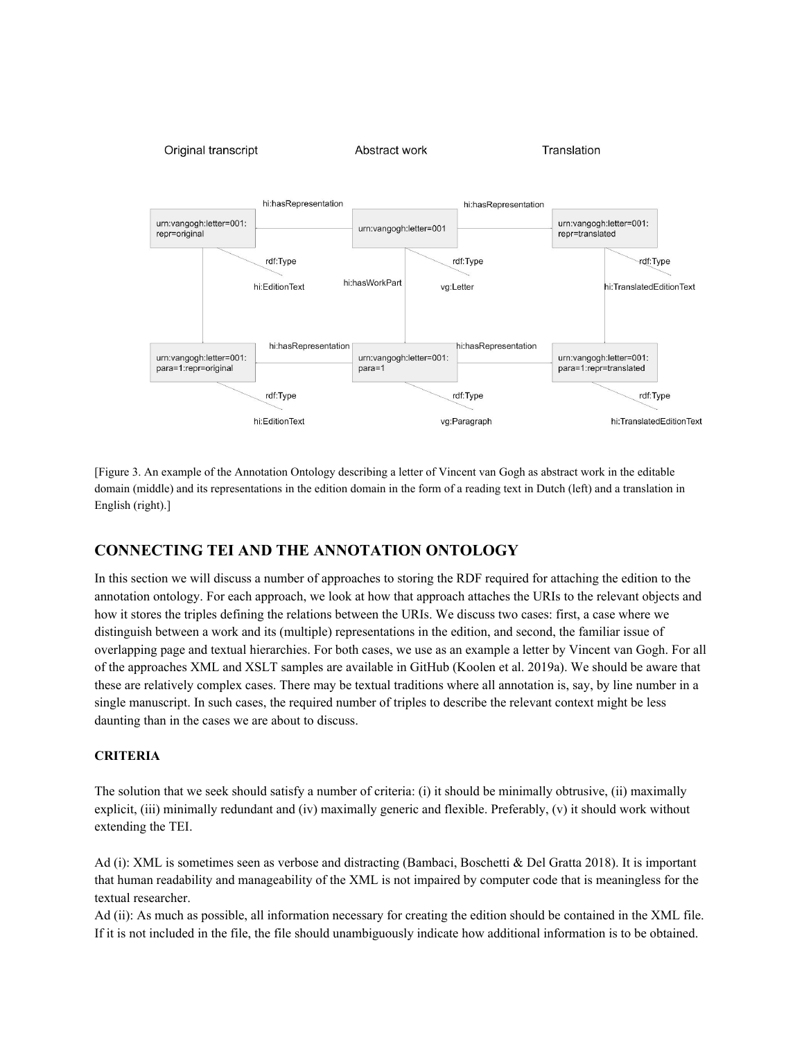

[Figure 3. An example of the Annotation Ontology describing a letter of Vincent van Gogh as abstract work in the editable domain (middle) and its representations in the edition domain in the form of a reading text in Dutch (left) and a translation in English (right).]

### **CONNECTING TEI AND THE ANNOTATION ONTOLOGY**

In this section we will discuss a number of approaches to storing the RDF required for attaching the edition to the annotation ontology. For each approach, we look at how that approach attaches the URIs to the relevant objects and how it stores the triples defining the relations between the URIs. We discuss two cases: first, a case where we distinguish between a work and its (multiple) representations in the edition, and second, the familiar issue of overlapping page and textual hierarchies. For both cases, we use as an example a letter by Vincent van Gogh. For all of the approaches XML and XSLT samples are available in GitHub (Koolen et al. 2019a). We should be aware that these are relatively complex cases. There may be textual traditions where all annotation is, say, by line number in a single manuscript. In such cases, the required number of triples to describe the relevant context might be less daunting than in the cases we are about to discuss.

#### **CRITERIA**

The solution that we seek should satisfy a number of criteria: (i) it should be minimally obtrusive, (ii) maximally explicit, (iii) minimally redundant and (iv) maximally generic and flexible. Preferably, (v) it should work without extending the TEI.

Ad (i): XML is sometimes seen as verbose and distracting (Bambaci, Boschetti & Del Gratta 2018). It is important that human readability and manageability of the XML is not impaired by computer code that is meaningless for the textual researcher.

Ad (ii): As much as possible, all information necessary for creating the edition should be contained in the XML file. If it is not included in the file, the file should unambiguously indicate how additional information is to be obtained.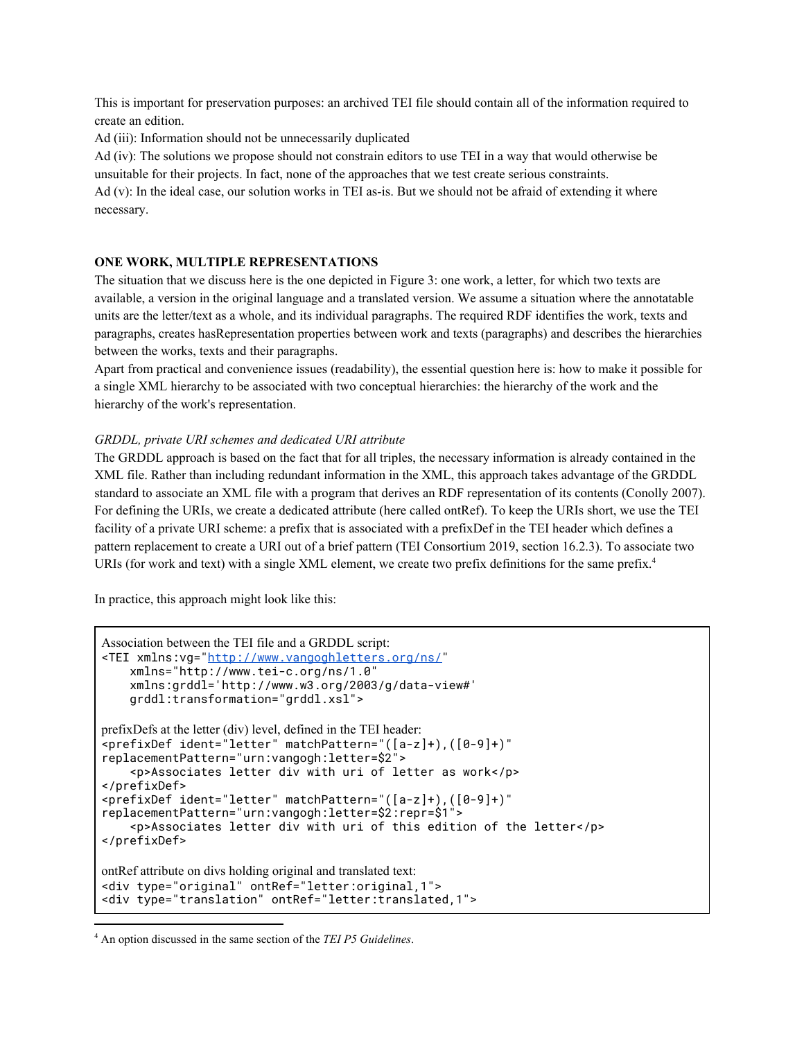This is important for preservation purposes: an archived TEI file should contain all of the information required to create an edition.

Ad (iii): Information should not be unnecessarily duplicated

Ad (iv): The solutions we propose should not constrain editors to use TEI in a way that would otherwise be unsuitable for their projects. In fact, none of the approaches that we test create serious constraints. Ad (v): In the ideal case, our solution works in TEI as-is. But we should not be afraid of extending it where necessary.

#### **ONE WORK, MULTIPLE REPRESENTATIONS**

The situation that we discuss here is the one depicted in Figure 3: one work, a letter, for which two texts are available, a version in the original language and a translated version. We assume a situation where the annotatable units are the letter/text as a whole, and its individual paragraphs. The required RDF identifies the work, texts and paragraphs, creates hasRepresentation properties between work and texts (paragraphs) and describes the hierarchies between the works, texts and their paragraphs.

Apart from practical and convenience issues (readability), the essential question here is: how to make it possible for a single XML hierarchy to be associated with two conceptual hierarchies: the hierarchy of the work and the hierarchy of the work's representation.

#### *GRDDL, private URI schemes and dedicated URI attribute*

The GRDDL approach is based on the fact that for all triples, the necessary information is already contained in the XML file. Rather than including redundant information in the XML, this approach takes advantage of the GRDDL standard to associate an XML file with a program that derives an RDF representation of its contents (Conolly 2007). For defining the URIs, we create a dedicated attribute (here called ontRef). To keep the URIs short, we use the TEI facility of a private URI scheme: a prefix that is associated with a prefixDef in the TEI header which defines a pattern replacement to create a URI out of a brief pattern (TEI Consortium 2019, section 16.2.3). To associate two URIs (for work and text) with a single XML element, we create two prefix definitions for the same prefix.<sup>4</sup>

In practice, this approach might look like this:

```
Association between the TEI file and a GRDDL script:
<TEI xmlns:vg="http://www.vangoghletters.org/ns/"
     xmlns="http://www.tei-c.org/ns/1.0"
     xmlns:grddl='http://www.w3.org/2003/g/data-view#'
     grddl:transformation="grddl.xsl">
prefixDefs at the letter (div) level, defined in the TEI header:
<prefixDef ident="letter" matchPattern="([a-z]+),([0-9]+)"
replacementPattern="urn:vangogh:letter=$2">
     <p>Associates letter div with uri of letter as work</p>
</prefixDef>
<prefixDef ident="letter" matchPattern="([a-z]+),([0-9]+)"
replacementPattern="urn:vangogh:letter=$2:repr=$1">
     <p>Associates letter div with uri of this edition of the letter</p>
</prefixDef>
ontRef attribute on divs holding original and translated text:
<div type="original" ontRef="letter:original,1">
<div type="translation" ontRef="letter:translated,1">
```
<sup>4</sup> An option discussed in the same section of the *TEI P5 Guidelines*.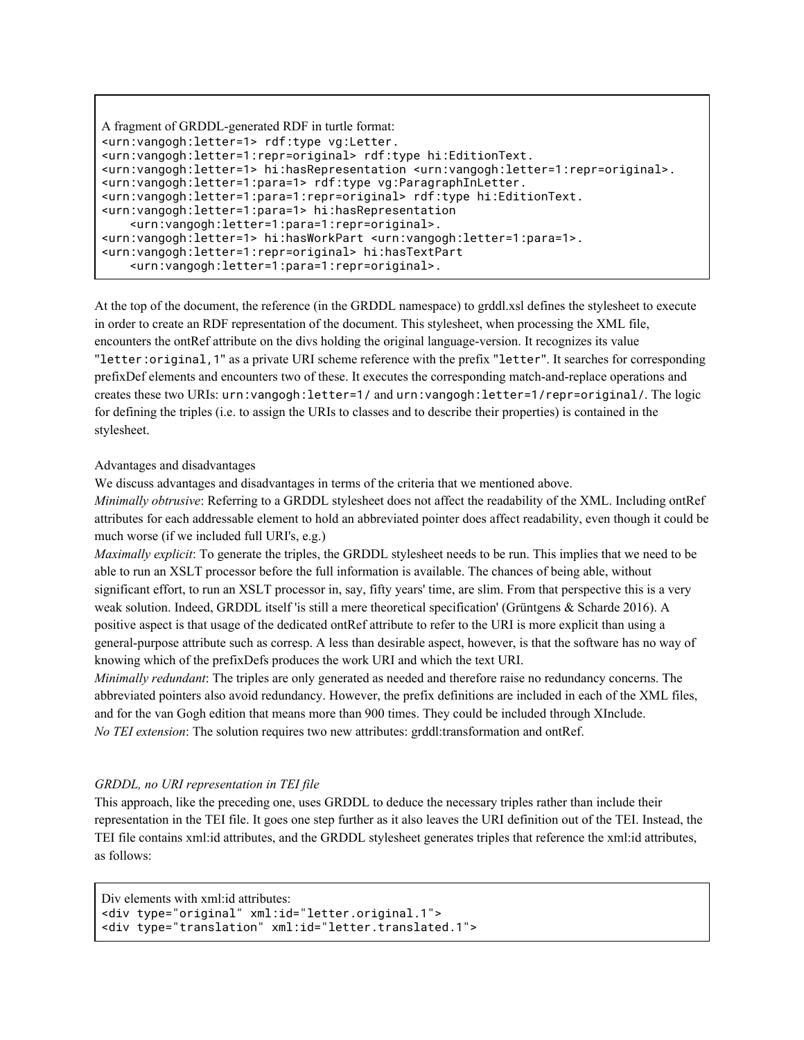```
A fragment of GRDDL-generated RDF in turtle format:
<urn:vangogh:letter=1> rdf:type vg:Letter.
<urn:vangogh:letter=1:repr=original> rdf:type hi:EditionText.
<urn:vangogh:letter=1> hi:hasRepresentation <urn:vangogh:letter=1:repr=original>.
<urn:vangogh:letter=1:para=1> rdf:type vg:ParagraphInLetter.
<urn:vangogh:letter=1:para=1:repr=original> rdf:type hi:EditionText.
<urn:vangogh:letter=1:para=1> hi:hasRepresentation
     <urn:vangogh:letter=1:para=1:repr=original>.
<urn:vangogh:letter=1> hi:hasWorkPart <urn:vangogh:letter=1:para=1>.
<urn:vangogh:letter=1:repr=original> hi:hasTextPart
     <urn:vangogh:letter=1:para=1:repr=original>.
```
At the top of the document, the reference (in the GRDDL namespace) to grddl.xsl defines the stylesheet to execute in order to create an RDF representation of the document. This stylesheet, when processing the XML file, encounters the ontRef attribute on the divs holding the original language-version. It recognizes its value "letter:original,1" as a private URI scheme reference with the prefix "letter". It searches for corresponding prefixDef elements and encounters two of these. It executes the corresponding match-and-replace operations and creates these two URIs: urn:vangogh:letter=1/and urn:vangogh:letter=1/repr=original/. The logic for defining the triples (i.e. to assign the URIs to classes and to describe their properties) is contained in the stylesheet.

Advantages and disadvantages

We discuss advantages and disadvantages in terms of the criteria that we mentioned above.

*Minimally obtrusive*: Referring to a GRDDL stylesheet does not affect the readability of the XML. Including ontRef attributes for each addressable element to hold an abbreviated pointer does affect readability, even though it could be much worse (if we included full URI's, e.g.)

*Maximally explicit*: To generate the triples, the GRDDL stylesheet needs to be run. This implies that we need to be able to run an XSLT processor before the full information is available. The chances of being able, without significant effort, to run an XSLT processor in, say, fifty years' time, are slim. From that perspective this is a very weak solution. Indeed, GRDDL itself 'is still a mere theoretical specification' (Grüntgens & Scharde 2016). A positive aspect is that usage of the dedicated ontRef attribute to refer to the URI is more explicit than using a general-purpose attribute such as corresp. A less than desirable aspect, however, is that the software has no way of knowing which of the prefixDefs produces the work URI and which the text URI.

*Minimally redundant*: The triples are only generated as needed and therefore raise no redundancy concerns. The abbreviated pointers also avoid redundancy. However, the prefix definitions are included in each of the XML files, and for the van Gogh edition that means more than 900 times. They could be included through XInclude. *No TEI extension*: The solution requires two new attributes: grddl:transformation and ontRef.

#### *GRDDL, no URI representation in TEI file*

This approach, like the preceding one, uses GRDDL to deduce the necessary triples rather than include their representation in the TEI file. It goes one step further as it also leaves the URI definition out of the TEI. Instead, the TEI file contains xml:id attributes, and the GRDDL stylesheet generates triples that reference the xml:id attributes, as follows:

```
Div elements with xml:id attributes:
<div type="original" xml:id="letter.original.1">
<div type="translation" xml:id="letter.translated.1">
```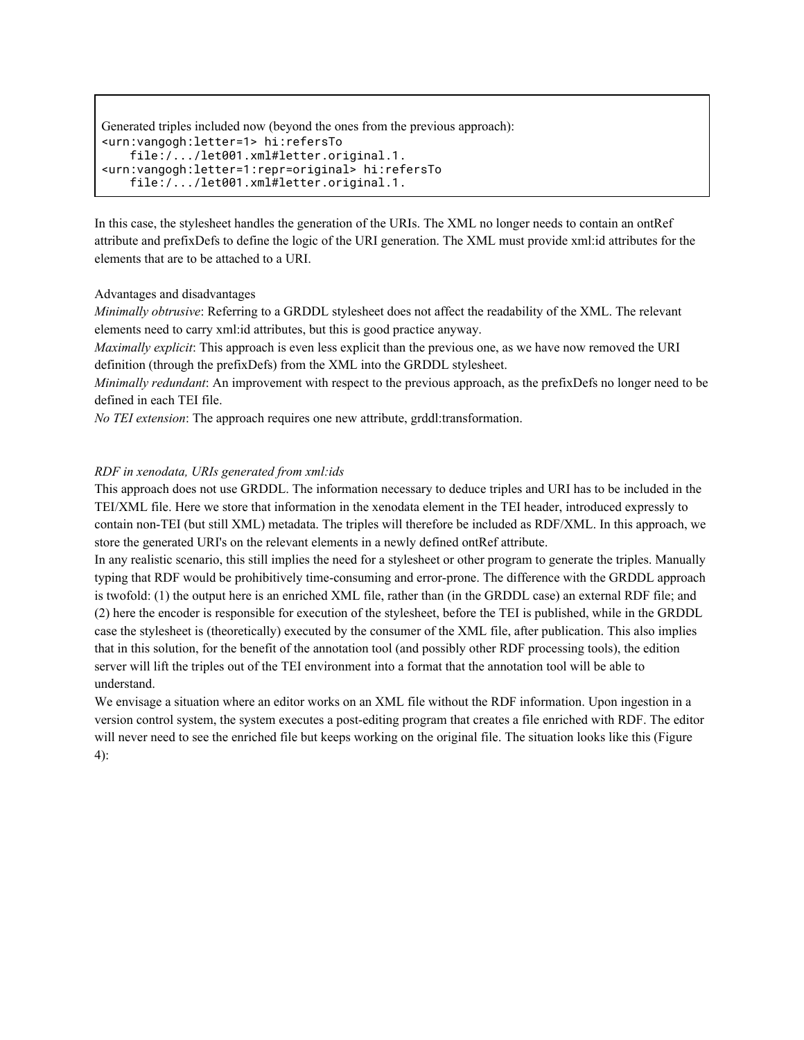```
Generated triples included now (beyond the ones from the previous approach):
<urn:vangogh:letter=1> hi:refersTo
     file:/.../let001.xml#letter.original.1.
<urn:vangogh:letter=1:repr=original> hi:refersTo
     file:/.../let001.xml#letter.original.1.
```
In this case, the stylesheet handles the generation of the URIs. The XML no longer needs to contain an ontRef attribute and prefixDefs to define the logic of the URI generation. The XML must provide xml:id attributes for the elements that are to be attached to a URI.

#### Advantages and disadvantages

*Minimally obtrusive*: Referring to a GRDDL stylesheet does not affect the readability of the XML. The relevant elements need to carry xml:id attributes, but this is good practice anyway.

*Maximally explicit*: This approach is even less explicit than the previous one, as we have now removed the URI definition (through the prefixDefs) from the XML into the GRDDL stylesheet.

*Minimally redundant*: An improvement with respect to the previous approach, as the prefixDefs no longer need to be defined in each TEI file.

*No TEI extension*: The approach requires one new attribute, grddl:transformation.

#### *RDF in xenodata, URIs generated from xml:ids*

This approach does not use GRDDL. The information necessary to deduce triples and URI has to be included in the TEI/XML file. Here we store that information in the xenodata element in the TEI header, introduced expressly to contain non-TEI (but still XML) metadata. The triples will therefore be included as RDF/XML. In this approach, we store the generated URI's on the relevant elements in a newly defined ontRef attribute.

In any realistic scenario, this still implies the need for a stylesheet or other program to generate the triples. Manually typing that RDF would be prohibitively time-consuming and error-prone. The difference with the GRDDL approach is twofold: (1) the output here is an enriched XML file, rather than (in the GRDDL case) an external RDF file; and (2) here the encoder is responsible for execution of the stylesheet, before the TEI is published, while in the GRDDL case the stylesheet is (theoretically) executed by the consumer of the XML file, after publication. This also implies that in this solution, for the benefit of the annotation tool (and possibly other RDF processing tools), the edition server will lift the triples out of the TEI environment into a format that the annotation tool will be able to understand.

We envisage a situation where an editor works on an XML file without the RDF information. Upon ingestion in a version control system, the system executes a post-editing program that creates a file enriched with RDF. The editor will never need to see the enriched file but keeps working on the original file. The situation looks like this (Figure 4):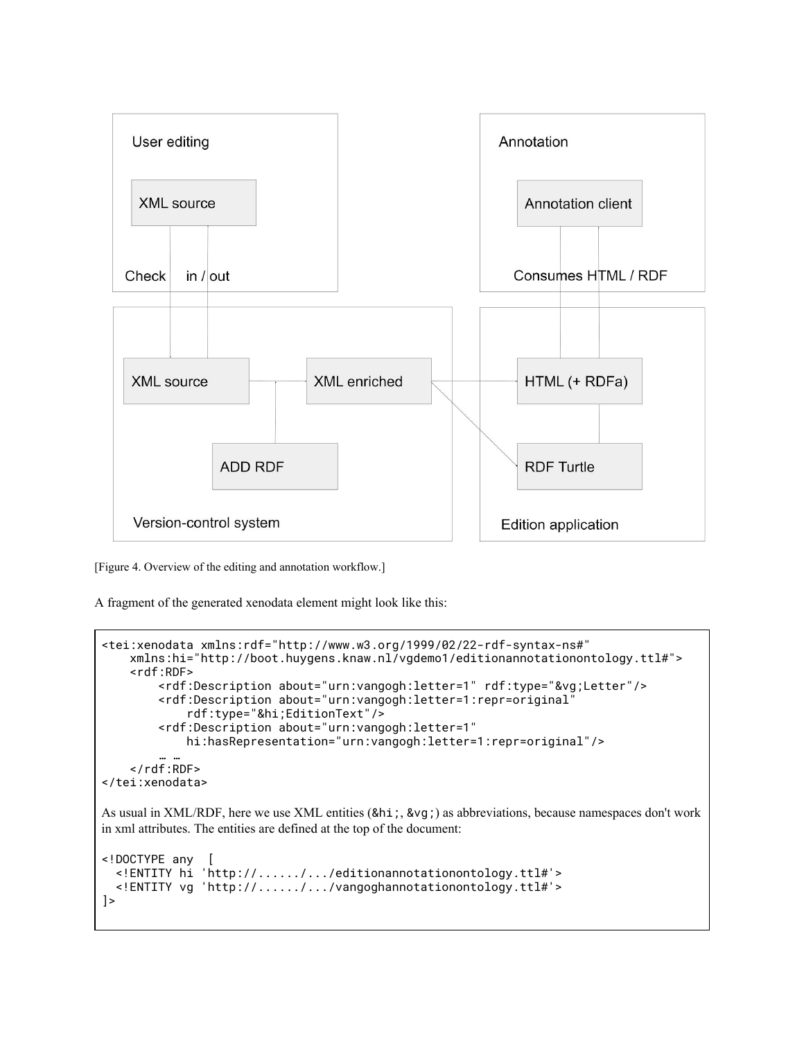

[Figure 4. Overview of the editing and annotation workflow.]

A fragment of the generated xenodata element might look like this:

```
<tei:xenodata xmlns:rdf="http://www.w3.org/1999/02/22-rdf-syntax-ns#"
    xmlns:hi="http://boot.huygens.knaw.nl/vgdemo1/editionannotationontology.ttl#">
     <rdf:RDF>
         <rdf:Description about="urn:vangogh:letter=1" rdf:type="&vg;Letter"/>
         <rdf:Description about="urn:vangogh:letter=1:repr=original"
             rdf:type="&hi;EditionText"/>
         <rdf:Description about="urn:vangogh:letter=1"
             hi:hasRepresentation="urn:vangogh:letter=1:repr=original"/>
 … …
 </rdf:RDF>
</tei:xenodata>
As usual in XML/RDF, here we use XML entities (&hi;, &vg;) as abbreviations, because namespaces don't work
in xml attributes. The entities are defined at the top of the document:
<!DOCTYPE any [
 <!ENTITY hi 'http://....../.../editionannotationontology.ttl#'>
 <!ENTITY vg 'http://....../.../vangoghannotationontology.ttl#'>
\vert
```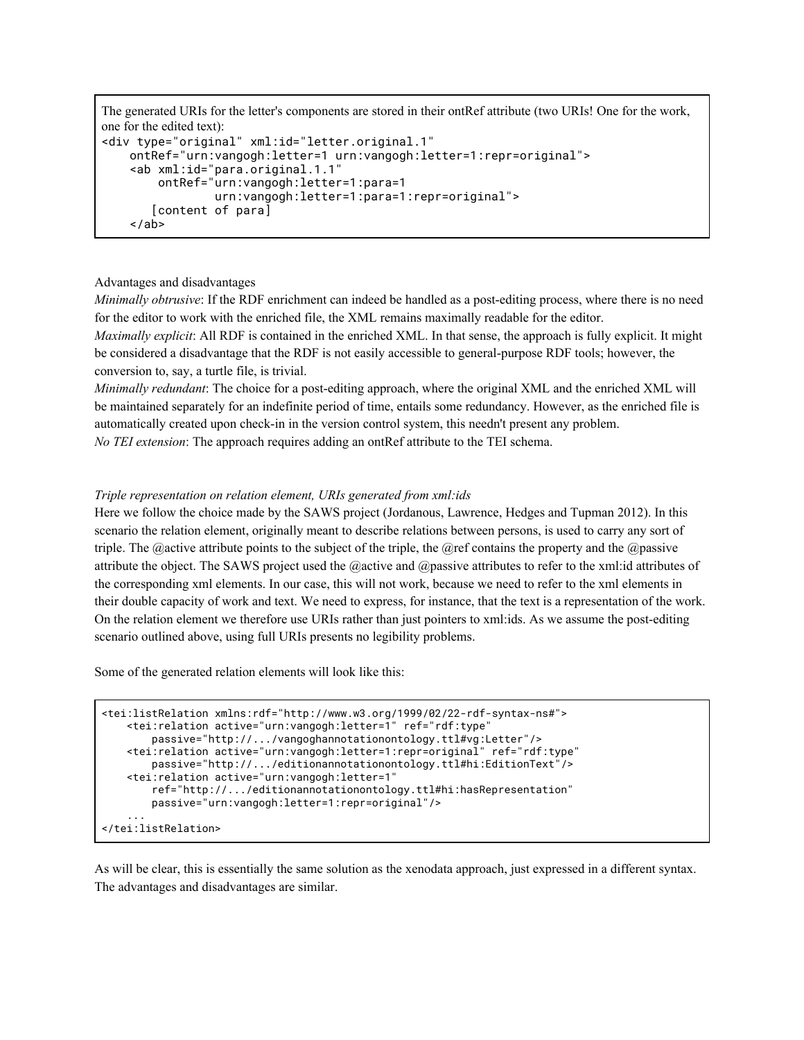The generated URIs for the letter's components are stored in their ontRef attribute (two URIs! One for the work, one for the edited text): <div type="original" xml:id="letter.original.1" ontRef="urn:vangogh:letter=1 urn:vangogh:letter=1:repr=original">

```
 <ab xml:id="para.original.1.1"
     ontRef="urn:vangogh:letter=1:para=1
             urn:vangogh:letter=1:para=1:repr=original">
    [content of para]
 </ab>
```
## Advantages and disadvantages

*Minimally obtrusive*: If the RDF enrichment can indeed be handled as a post-editing process, where there is no need for the editor to work with the enriched file, the XML remains maximally readable for the editor.

*Maximally explicit*: All RDF is contained in the enriched XML. In that sense, the approach is fully explicit. It might be considered a disadvantage that the RDF is not easily accessible to general-purpose RDF tools; however, the conversion to, say, a turtle file, is trivial.

*Minimally redundant*: The choice for a post-editing approach, where the original XML and the enriched XML will be maintained separately for an indefinite period of time, entails some redundancy. However, as the enriched file is automatically created upon check-in in the version control system, this needn't present any problem. *No TEI extension*: The approach requires adding an ontRef attribute to the TEI schema.

## *Triple representation on relation element, URIs generated from xml:ids*

Here we follow the choice made by the SAWS project (Jordanous, Lawrence, Hedges and Tupman 2012). In this scenario the relation element, originally meant to describe relations between persons, is used to carry any sort of triple. The @active attribute points to the subject of the triple, the @ref contains the property and the @passive attribute the object. The SAWS project used the @active and @passive attributes to refer to the xml:id attributes of the corresponding xml elements. In our case, this will not work, because we need to refer to the xml elements in their double capacity of work and text. We need to express, for instance, that the text is a representation of the work. On the relation element we therefore use URIs rather than just pointers to xml:ids. As we assume the post-editing scenario outlined above, using full URIs presents no legibility problems.

Some of the generated relation elements will look like this:

```
<tei:listRelation xmlns:rdf="http://www.w3.org/1999/02/22-rdf-syntax-ns#">
   <tei:relation active="urn:vangogh:letter=1" ref="rdf:type"
       passive="http://.../vangoghannotationontology.ttl#vg:Letter"/>
   <tei:relation active="urn:vangogh:letter=1:repr=original" ref="rdf:type"
       passive="http://.../editionannotationontology.ttl#hi:EditionText"/>
   <tei:relation active="urn:vangogh:letter=1"
       ref="http://.../editionannotationontology.ttl#hi:hasRepresentation"
       passive="urn:vangogh:letter=1:repr=original"/>
    ...
</tei:listRelation>
```
As will be clear, this is essentially the same solution as the xenodata approach, just expressed in a different syntax. The advantages and disadvantages are similar.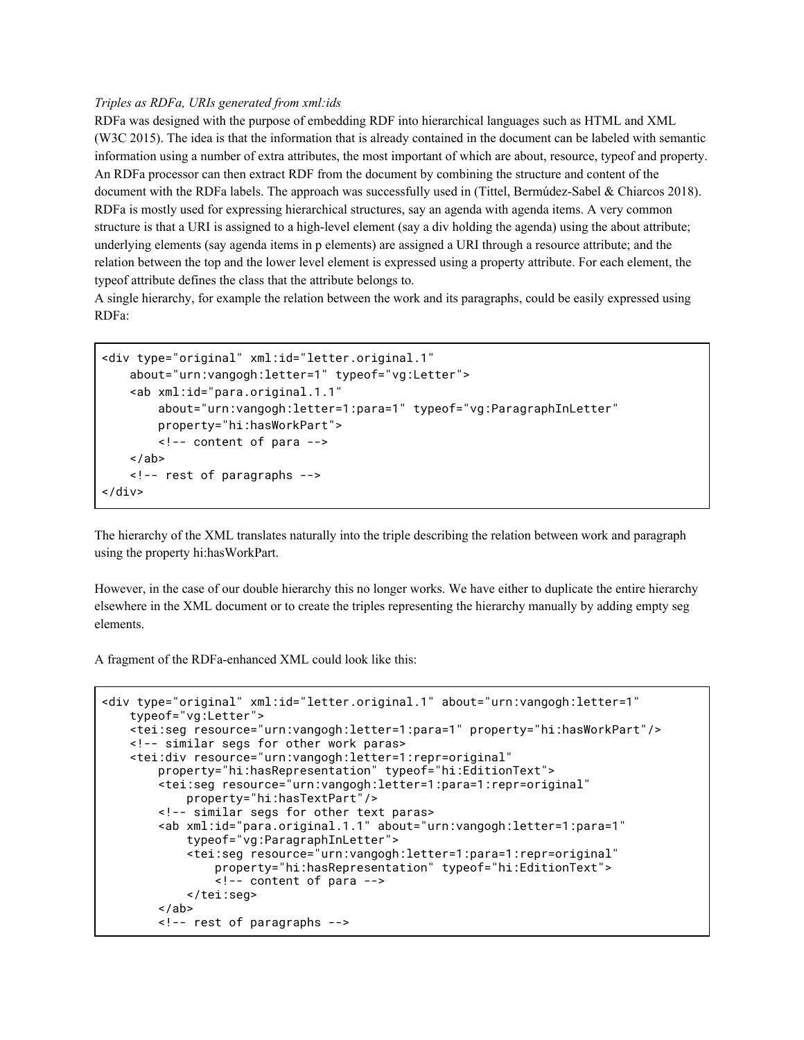#### *Triples as RDFa, URIs generated from xml:ids*

RDFa was designed with the purpose of embedding RDF into hierarchical languages such as HTML and XML (W3C 2015). The idea is that the information that is already contained in the document can be labeled with semantic information using a number of extra attributes, the most important of which are about, resource, typeof and property. An RDFa processor can then extract RDF from the document by combining the structure and content of the document with the RDFa labels. The approach was successfully used in (Tittel, Bermúdez-Sabel & Chiarcos 2018). RDFa is mostly used for expressing hierarchical structures, say an agenda with agenda items. A very common structure is that a URI is assigned to a high-level element (say a div holding the agenda) using the about attribute; underlying elements (say agenda items in p elements) are assigned a URI through a resource attribute; and the relation between the top and the lower level element is expressed using a property attribute. For each element, the typeof attribute defines the class that the attribute belongs to.

A single hierarchy, for example the relation between the work and its paragraphs, could be easily expressed using RDFa:

```
<div type="original" xml:id="letter.original.1"
    about="urn:vangogh:letter=1" typeof="vg:Letter">
     <ab xml:id="para.original.1.1"
         about="urn:vangogh:letter=1:para=1" typeof="vg:ParagraphInLetter"
         property="hi:hasWorkPart">
         <!-- content of para -->
    \langleab>
     <!-- rest of paragraphs -->
</div>
```
The hierarchy of the XML translates naturally into the triple describing the relation between work and paragraph using the property hi:hasWorkPart.

However, in the case of our double hierarchy this no longer works. We have either to duplicate the entire hierarchy elsewhere in the XML document or to create the triples representing the hierarchy manually by adding empty seg elements.

A fragment of the RDFa-enhanced XML could look like this:

```
<div type="original" xml:id="letter.original.1" about="urn:vangogh:letter=1"
    typeof="vg:Letter">
     <tei:seg resource="urn:vangogh:letter=1:para=1" property="hi:hasWorkPart"/>
     <!-- similar segs for other work paras>
     <tei:div resource="urn:vangogh:letter=1:repr=original"
         property="hi:hasRepresentation" typeof="hi:EditionText">
         <tei:seg resource="urn:vangogh:letter=1:para=1:repr=original"
             property="hi:hasTextPart"/>
         <!-- similar segs for other text paras>
         <ab xml:id="para.original.1.1" about="urn:vangogh:letter=1:para=1"
             typeof="vg:ParagraphInLetter">
             <tei:seg resource="urn:vangogh:letter=1:para=1:repr=original"
                 property="hi:hasRepresentation" typeof="hi:EditionText">
                 <!-- content of para -->
             </tei:seg>
        \langleab>
         <!-- rest of paragraphs -->
```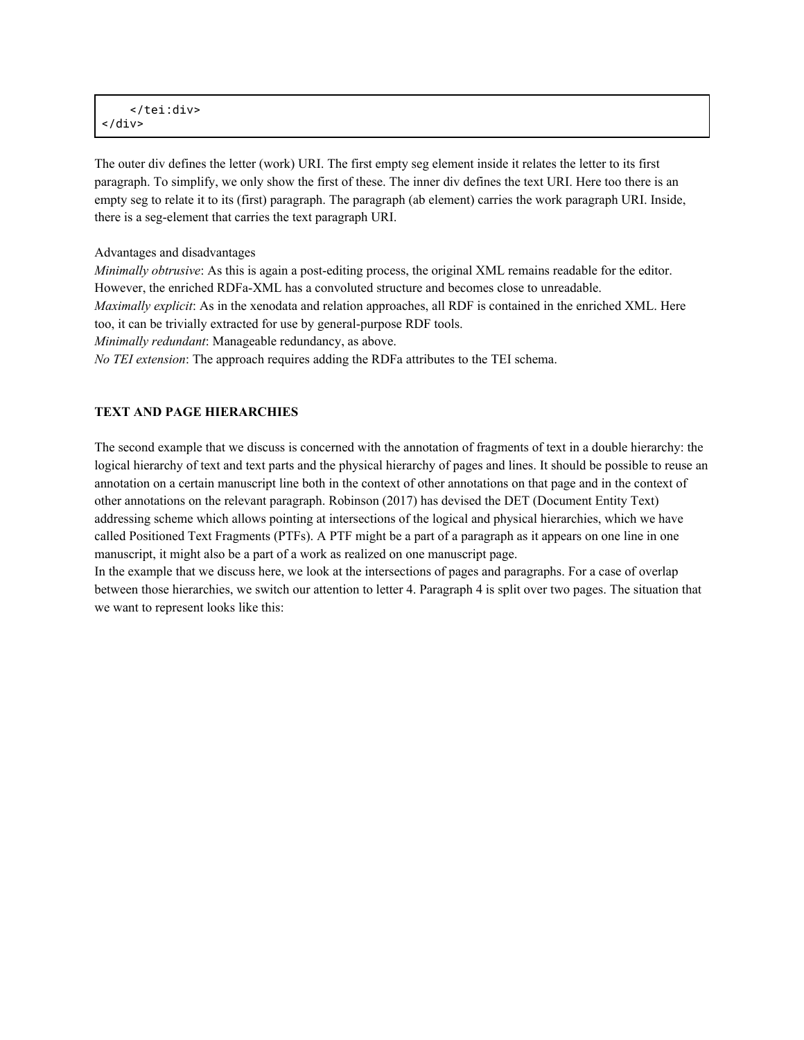</tei:div> </div>

The outer div defines the letter (work) URI. The first empty seg element inside it relates the letter to its first paragraph. To simplify, we only show the first of these. The inner div defines the text URI. Here too there is an empty seg to relate it to its (first) paragraph. The paragraph (ab element) carries the work paragraph URI. Inside, there is a seg-element that carries the text paragraph URI.

Advantages and disadvantages

*Minimally obtrusive*: As this is again a post-editing process, the original XML remains readable for the editor. However, the enriched RDFa-XML has a convoluted structure and becomes close to unreadable. *Maximally explicit*: As in the xenodata and relation approaches, all RDF is contained in the enriched XML. Here too, it can be trivially extracted for use by general-purpose RDF tools. *Minimally redundant*: Manageable redundancy, as above. *No TEI extension*: The approach requires adding the RDFa attributes to the TEI schema.

#### **TEXT AND PAGE HIERARCHIES**

The second example that we discuss is concerned with the annotation of fragments of text in a double hierarchy: the logical hierarchy of text and text parts and the physical hierarchy of pages and lines. It should be possible to reuse an annotation on a certain manuscript line both in the context of other annotations on that page and in the context of other annotations on the relevant paragraph. Robinson (2017) has devised the DET (Document Entity Text) addressing scheme which allows pointing at intersections of the logical and physical hierarchies, which we have called Positioned Text Fragments (PTFs). A PTF might be a part of a paragraph as it appears on one line in one manuscript, it might also be a part of a work as realized on one manuscript page.

In the example that we discuss here, we look at the intersections of pages and paragraphs. For a case of overlap between those hierarchies, we switch our attention to letter 4. Paragraph 4 is split over two pages. The situation that we want to represent looks like this: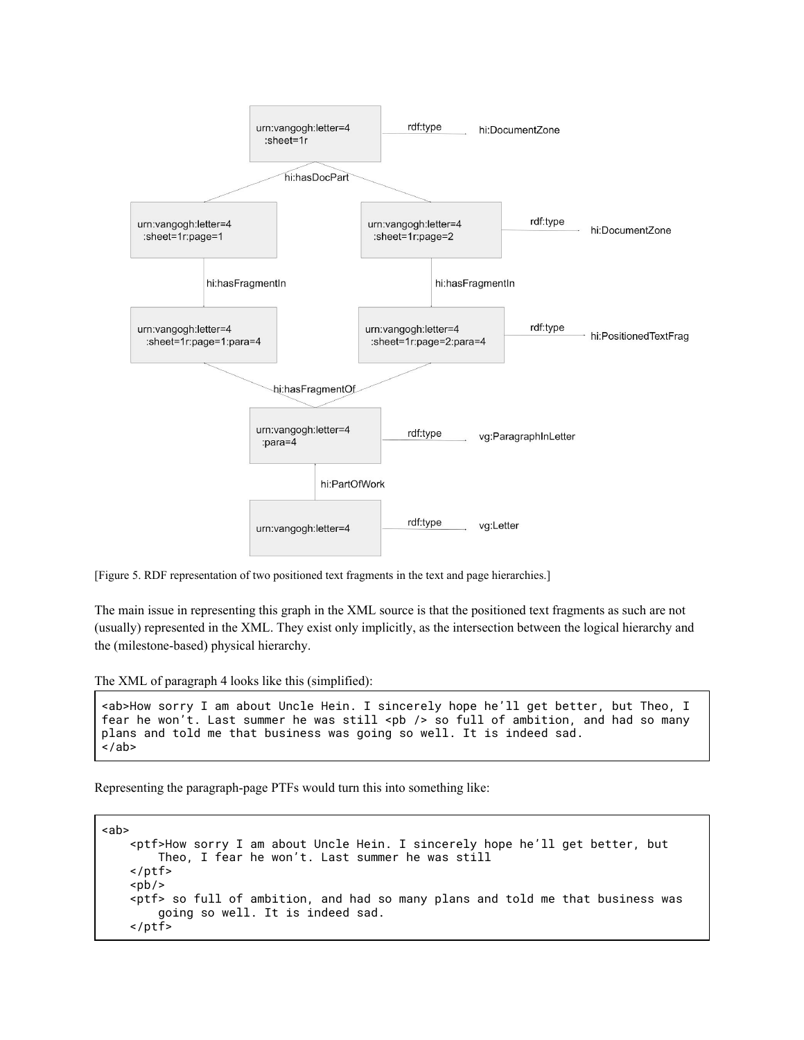

[Figure 5. RDF representation of two positioned text fragments in the text and page hierarchies.]

The main issue in representing this graph in the XML source is that the positioned text fragments as such are not (usually) represented in the XML. They exist only implicitly, as the intersection between the logical hierarchy and the (milestone-based) physical hierarchy.

The XML of paragraph 4 looks like this (simplified):

```
<ab>How sorry I am about Uncle Hein. I sincerely hope he'll get better, but Theo, I
fear he won't. Last summer he was still <pb />>b of full of ambition, and had so many
plans and told me that business was going so well. It is indeed sad.
\langleab>
```
Representing the paragraph-page PTFs would turn this into something like:

```
<ab>
     <ptf>How sorry I am about Uncle Hein. I sincerely hope he'll get better, but
         Theo, I fear he won't. Last summer he was still
     </ptf>
    <pb/>
     <ptf> so full of ambition, and had so many plans and told me that business was
         going so well. It is indeed sad.
     </ptf>
```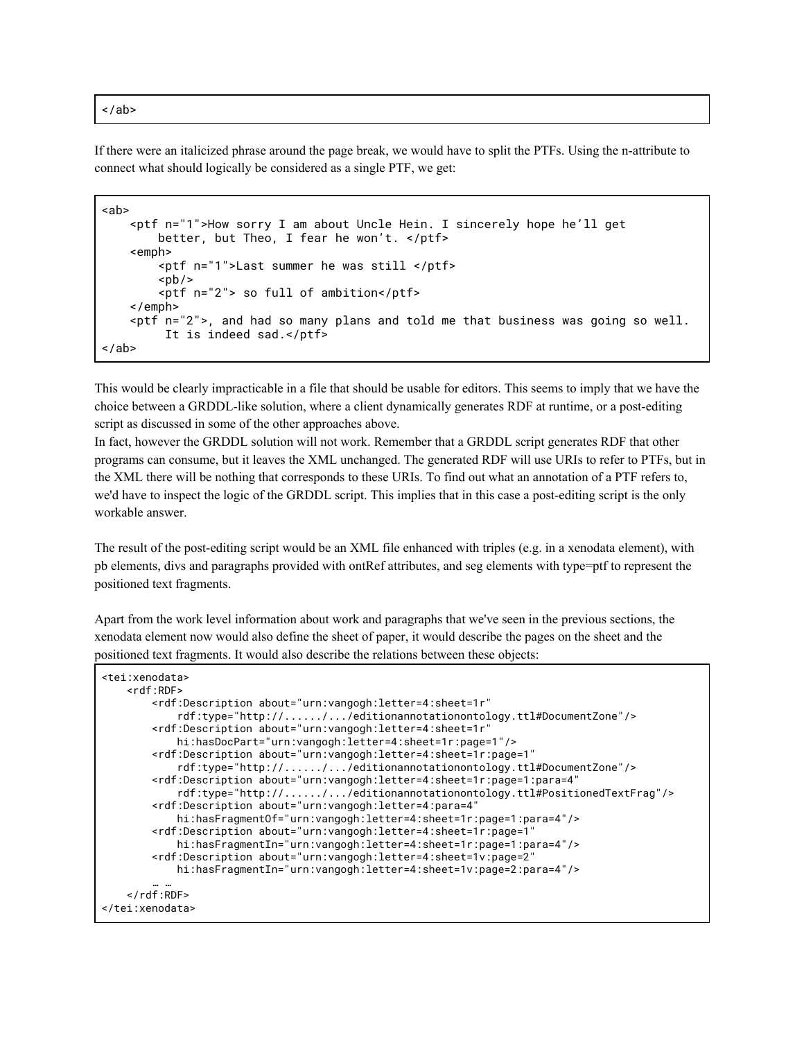$\langle$ ab>

If there were an italicized phrase around the page break, we would have to split the PTFs. Using the n-attribute to connect what should logically be considered as a single PTF, we get:

```
<ab>
     <ptf n="1">How sorry I am about Uncle Hein. I sincerely hope he'll get
         better, but Theo, I fear he won't. </ptf>
     <emph>
         <ptf n="1">Last summer he was still </ptf>
        <pb/>
         <ptf n="2"> so full of ambition</ptf>
     </emph>
     <ptf n="2">, and had so many plans and told me that business was going so well.
          It is indeed sad.</ptf>
\langleab>
```
This would be clearly impracticable in a file that should be usable for editors. This seems to imply that we have the choice between a GRDDL-like solution, where a client dynamically generates RDF at runtime, or a post-editing script as discussed in some of the other approaches above.

In fact, however the GRDDL solution will not work. Remember that a GRDDL script generates RDF that other programs can consume, but it leaves the XML unchanged. The generated RDF will use URIs to refer to PTFs, but in the XML there will be nothing that corresponds to these URIs. To find out what an annotation of a PTF refers to, we'd have to inspect the logic of the GRDDL script. This implies that in this case a post-editing script is the only workable answer.

The result of the post-editing script would be an XML file enhanced with triples (e.g. in a xenodata element), with pb elements, divs and paragraphs provided with ontRef attributes, and seg elements with type=ptf to represent the positioned text fragments.

Apart from the work level information about work and paragraphs that we've seen in the previous sections, the xenodata element now would also define the sheet of paper, it would describe the pages on the sheet and the positioned text fragments. It would also describe the relations between these objects:

```
<tei:xenodata>
   <rdf:RDF>
        <rdf:Description about="urn:vangogh:letter=4:sheet=1r"
            rdf:type="http://....../.../editionannotationontology.ttl#DocumentZone"/>
        <rdf:Description about="urn:vangogh:letter=4:sheet=1r"
            hi:hasDocPart="urn:vangogh:letter=4:sheet=1r:page=1"/>
        <rdf:Description about="urn:vangogh:letter=4:sheet=1r:page=1"
            rdf:type="http://....../.../editionannotationontology.ttl#DocumentZone"/>
        <rdf:Description about="urn:vangogh:letter=4:sheet=1r:page=1:para=4"
            rdf:type="http://....../.../editionannotationontology.ttl#PositionedTextFrag"/>
        <rdf:Description about="urn:vangogh:letter=4:para=4"
           hi:hasFragmentOf="urn:vangogh:letter=4:sheet=1r:page=1:para=4"/>
        <rdf:Description about="urn:vangogh:letter=4:sheet=1r:page=1"
           hi:hasFragmentIn="urn:vangogh:letter=4:sheet=1r:page=1:para=4"/>
        <rdf:Description about="urn:vangogh:letter=4:sheet=1v:page=2"
            hi:hasFragmentIn="urn:vangogh:letter=4:sheet=1v:page=2:para=4"/>
        … …
    </rdf:RDF>
</tei:xenodata>
```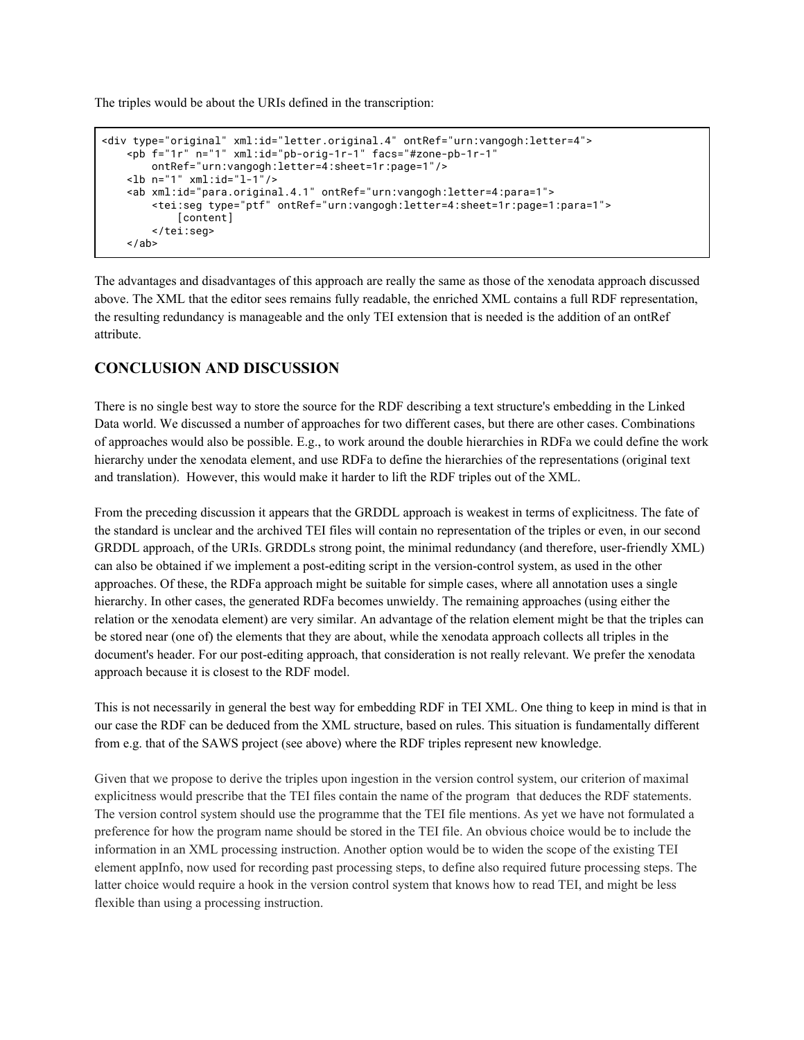The triples would be about the URIs defined in the transcription:

```
<div type="original" xml:id="letter.original.4" ontRef="urn:vangogh:letter=4">
    <pb f="1r" n="1" xml:id="pb-orig-1r-1" facs="#zone-pb-1r-1"
       ontRef="urn:vangogh:letter=4:sheet=1r:page=1"/>
    <lb n="1" xml:id="l-1"/>
    <ab xml:id="para.original.4.1" ontRef="urn:vangogh:letter=4:para=1">
        <tei:seg type="ptf" ontRef="urn:vangogh:letter=4:sheet=1r:page=1:para=1">
            [content]
        </tei:seg>
    \langleab>
```
The advantages and disadvantages of this approach are really the same as those of the xenodata approach discussed above. The XML that the editor sees remains fully readable, the enriched XML contains a full RDF representation, the resulting redundancy is manageable and the only TEI extension that is needed is the addition of an ontRef attribute.

## **CONCLUSION AND DISCUSSION**

There is no single best way to store the source for the RDF describing a text structure's embedding in the Linked Data world. We discussed a number of approaches for two different cases, but there are other cases. Combinations of approaches would also be possible. E.g., to work around the double hierarchies in RDFa we could define the work hierarchy under the xenodata element, and use RDFa to define the hierarchies of the representations (original text and translation). However, this would make it harder to lift the RDF triples out of the XML.

From the preceding discussion it appears that the GRDDL approach is weakest in terms of explicitness. The fate of the standard is unclear and the archived TEI files will contain no representation of the triples or even, in our second GRDDL approach, of the URIs. GRDDLs strong point, the minimal redundancy (and therefore, user-friendly XML) can also be obtained if we implement a post-editing script in the version-control system, as used in the other approaches. Of these, the RDFa approach might be suitable for simple cases, where all annotation uses a single hierarchy. In other cases, the generated RDFa becomes unwieldy. The remaining approaches (using either the relation or the xenodata element) are very similar. An advantage of the relation element might be that the triples can be stored near (one of) the elements that they are about, while the xenodata approach collects all triples in the document's header. For our post-editing approach, that consideration is not really relevant. We prefer the xenodata approach because it is closest to the RDF model.

This is not necessarily in general the best way for embedding RDF in TEI XML. One thing to keep in mind is that in our case the RDF can be deduced from the XML structure, based on rules. This situation is fundamentally different from e.g. that of the SAWS project (see above) where the RDF triples represent new knowledge.

Given that we propose to derive the triples upon ingestion in the version control system, our criterion of maximal explicitness would prescribe that the TEI files contain the name of the program that deduces the RDF statements. The version control system should use the programme that the TEI file mentions. As yet we have not formulated a preference for how the program name should be stored in the TEI file. An obvious choice would be to include the information in an XML processing instruction. Another option would be to widen the scope of the existing TEI element appInfo, now used for recording past processing steps, to define also required future processing steps. The latter choice would require a hook in the version control system that knows how to read TEI, and might be less flexible than using a processing instruction.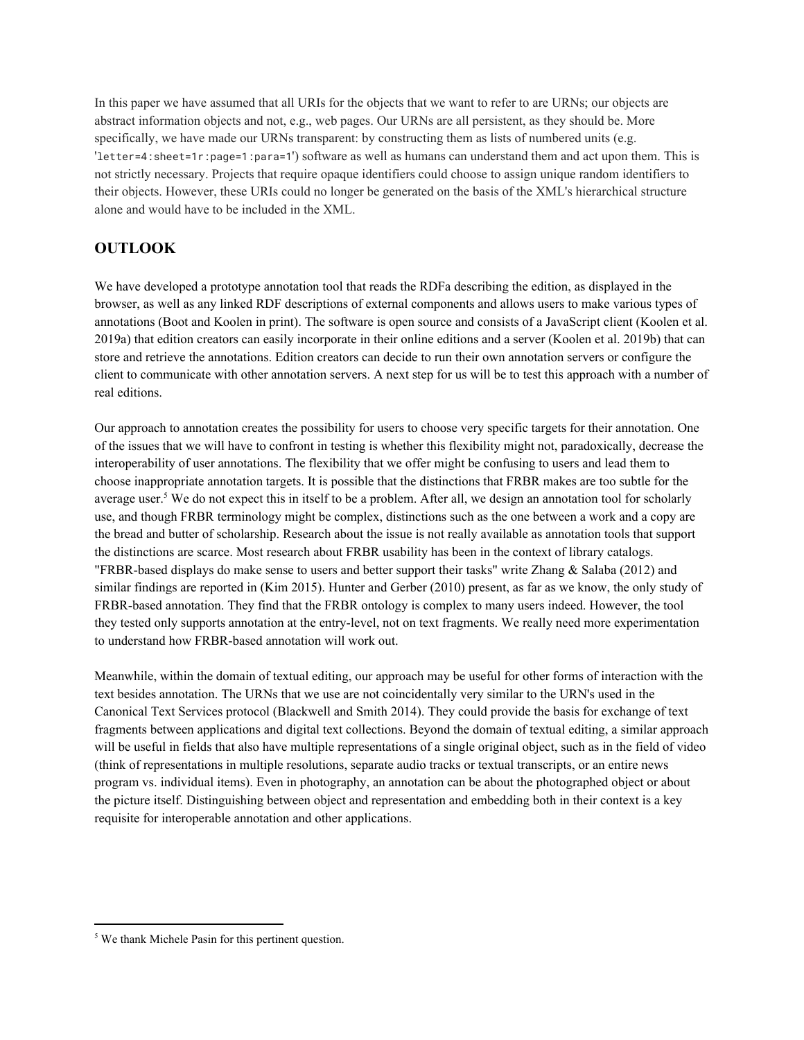In this paper we have assumed that all URIs for the objects that we want to refer to are URNs; our objects are abstract information objects and not, e.g., web pages. Our URNs are all persistent, as they should be. More specifically, we have made our URNs transparent: by constructing them as lists of numbered units (e.g. 'letter=4:sheet=1r:page=1:para=1') software as well as humans can understand them and act upon them. This is not strictly necessary. Projects that require opaque identifiers could choose to assign unique random identifiers to their objects. However, these URIs could no longer be generated on the basis of the XML's hierarchical structure alone and would have to be included in the XML.

## **OUTLOOK**

We have developed a prototype annotation tool that reads the RDFa describing the edition, as displayed in the browser, as well as any linked RDF descriptions of external components and allows users to make various types of annotations (Boot and Koolen in print). The software is open source and consists of a JavaScript client (Koolen et al. 2019a) that edition creators can easily incorporate in their online editions and a server (Koolen et al. 2019b) that can store and retrieve the annotations. Edition creators can decide to run their own annotation servers or configure the client to communicate with other annotation servers. A next step for us will be to test this approach with a number of real editions.

Our approach to annotation creates the possibility for users to choose very specific targets for their annotation. One of the issues that we will have to confront in testing is whether this flexibility might not, paradoxically, decrease the interoperability of user annotations. The flexibility that we offer might be confusing to users and lead them to choose inappropriate annotation targets. It is possible that the distinctions that FRBR makes are too subtle for the average user.<sup>5</sup> We do not expect this in itself to be a problem. After all, we design an annotation tool for scholarly use, and though FRBR terminology might be complex, distinctions such as the one between a work and a copy are the bread and butter of scholarship. Research about the issue is not really available as annotation tools that support the distinctions are scarce. Most research about FRBR usability has been in the context of library catalogs. "FRBR-based displays do make sense to users and better support their tasks" write Zhang & Salaba (2012) and similar findings are reported in (Kim 2015). Hunter and Gerber (2010) present, as far as we know, the only study of FRBR-based annotation. They find that the FRBR ontology is complex to many users indeed. However, the tool they tested only supports annotation at the entry-level, not on text fragments. We really need more experimentation to understand how FRBR-based annotation will work out.

Meanwhile, within the domain of textual editing, our approach may be useful for other forms of interaction with the text besides annotation. The URNs that we use are not coincidentally very similar to the URN's used in the Canonical Text Services protocol (Blackwell and Smith 2014). They could provide the basis for exchange of text fragments between applications and digital text collections. Beyond the domain of textual editing, a similar approach will be useful in fields that also have multiple representations of a single original object, such as in the field of video (think of representations in multiple resolutions, separate audio tracks or textual transcripts, or an entire news program vs. individual items). Even in photography, an annotation can be about the photographed object or about the picture itself. Distinguishing between object and representation and embedding both in their context is a key requisite for interoperable annotation and other applications.

<sup>&</sup>lt;sup>5</sup> We thank Michele Pasin for this pertinent question.